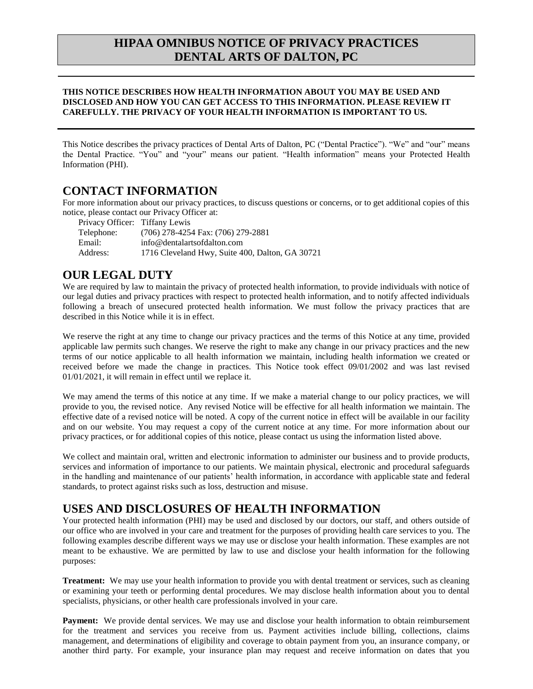## **HIPAA OMNIBUS NOTICE OF PRIVACY PRACTICES DENTAL ARTS OF DALTON, PC**

#### **THIS NOTICE DESCRIBES HOW HEALTH INFORMATION ABOUT YOU MAY BE USED AND DISCLOSED AND HOW YOU CAN GET ACCESS TO THIS INFORMATION. PLEASE REVIEW IT CAREFULLY. THE PRIVACY OF YOUR HEALTH INFORMATION IS IMPORTANT TO US.**

This Notice describes the privacy practices of Dental Arts of Dalton, PC ("Dental Practice"). "We" and "our" means the Dental Practice. "You" and "your" means our patient. "Health information" means your Protected Health Information (PHI).

### **CONTACT INFORMATION**

For more information about our privacy practices, to discuss questions or concerns, or to get additional copies of this notice, please contact our Privacy Officer at:

Privacy Officer: Tiffany Lewis Telephone: (706) 278-4254 Fax: (706) 279-2881 Email: info@dentalartsofdalton.com Address: 1716 Cleveland Hwy, Suite 400, Dalton, GA 30721

# **OUR LEGAL DUTY**

We are required by law to maintain the privacy of protected health information, to provide individuals with notice of our legal duties and privacy practices with respect to protected health information, and to notify affected individuals following a breach of unsecured protected health information. We must follow the privacy practices that are described in this Notice while it is in effect.

We reserve the right at any time to change our privacy practices and the terms of this Notice at any time, provided applicable law permits such changes. We reserve the right to make any change in our privacy practices and the new terms of our notice applicable to all health information we maintain, including health information we created or received before we made the change in practices. This Notice took effect 09/01/2002 and was last revised 01/01/2021, it will remain in effect until we replace it.

We may amend the terms of this notice at any time. If we make a material change to our policy practices, we will provide to you, the revised notice. Any revised Notice will be effective for all health information we maintain. The effective date of a revised notice will be noted. A copy of the current notice in effect will be available in our facility and on our website. You may request a copy of the current notice at any time. For more information about our privacy practices, or for additional copies of this notice, please contact us using the information listed above.

We collect and maintain oral, written and electronic information to administer our business and to provide products, services and information of importance to our patients. We maintain physical, electronic and procedural safeguards in the handling and maintenance of our patients' health information, in accordance with applicable state and federal standards, to protect against risks such as loss, destruction and misuse.

# **USES AND DISCLOSURES OF HEALTH INFORMATION**

Your protected health information (PHI) may be used and disclosed by our doctors, our staff, and others outside of our office who are involved in your care and treatment for the purposes of providing health care services to you. The following examples describe different ways we may use or disclose your health information. These examples are not meant to be exhaustive. We are permitted by law to use and disclose your health information for the following purposes:

**Treatment:** We may use your health information to provide you with dental treatment or services, such as cleaning or examining your teeth or performing dental procedures. We may disclose health information about you to dental specialists, physicians, or other health care professionals involved in your care.

Payment: We provide dental services. We may use and disclose your health information to obtain reimbursement for the treatment and services you receive from us. Payment activities include billing, collections, claims management, and determinations of eligibility and coverage to obtain payment from you, an insurance company, or another third party. For example, your insurance plan may request and receive information on dates that you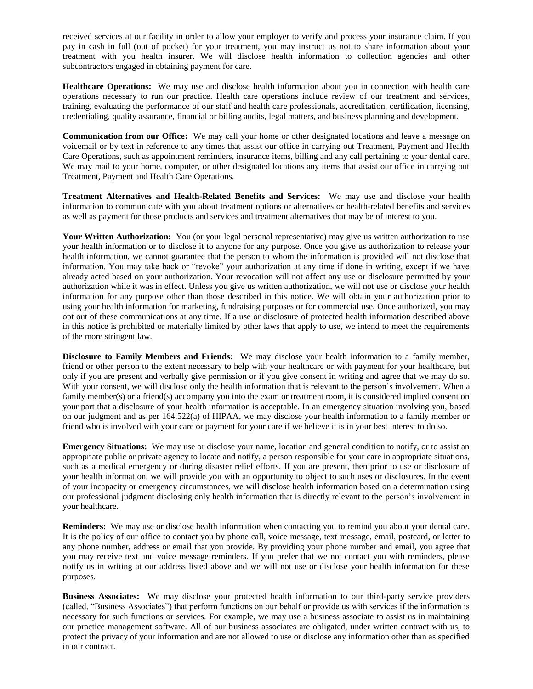received services at our facility in order to allow your employer to verify and process your insurance claim. If you pay in cash in full (out of pocket) for your treatment, you may instruct us not to share information about your treatment with you health insurer. We will disclose health information to collection agencies and other subcontractors engaged in obtaining payment for care.

**Healthcare Operations:** We may use and disclose health information about you in connection with health care operations necessary to run our practice. Health care operations include review of our treatment and services, training, evaluating the performance of our staff and health care professionals, accreditation, certification, licensing, credentialing, quality assurance, financial or billing audits, legal matters, and business planning and development.

**Communication from our Office:** We may call your home or other designated locations and leave a message on voicemail or by text in reference to any times that assist our office in carrying out Treatment, Payment and Health Care Operations, such as appointment reminders, insurance items, billing and any call pertaining to your dental care. We may mail to your home, computer, or other designated locations any items that assist our office in carrying out Treatment, Payment and Health Care Operations.

**Treatment Alternatives and Health-Related Benefits and Services:** We may use and disclose your health information to communicate with you about treatment options or alternatives or health-related benefits and services as well as payment for those products and services and treatment alternatives that may be of interest to you.

**Your Written Authorization:** You (or your legal personal representative) may give us written authorization to use your health information or to disclose it to anyone for any purpose. Once you give us authorization to release your health information, we cannot guarantee that the person to whom the information is provided will not disclose that information. You may take back or "revoke" your authorization at any time if done in writing, except if we have already acted based on your authorization. Your revocation will not affect any use or disclosure permitted by your authorization while it was in effect. Unless you give us written authorization, we will not use or disclose your health information for any purpose other than those described in this notice. We will obtain your authorization prior to using your health information for marketing, fundraising purposes or for commercial use. Once authorized, you may opt out of these communications at any time. If a use or disclosure of protected health information described above in this notice is prohibited or materially limited by other laws that apply to use, we intend to meet the requirements of the more stringent law.

**Disclosure to Family Members and Friends:** We may disclose your health information to a family member, friend or other person to the extent necessary to help with your healthcare or with payment for your healthcare, but only if you are present and verbally give permission or if you give consent in writing and agree that we may do so. With your consent, we will disclose only the health information that is relevant to the person's involvement. When a family member(s) or a friend(s) accompany you into the exam or treatment room, it is considered implied consent on your part that a disclosure of your health information is acceptable. In an emergency situation involving you, based on our judgment and as per 164.522(a) of HIPAA, we may disclose your health information to a family member or friend who is involved with your care or payment for your care if we believe it is in your best interest to do so.

**Emergency Situations:** We may use or disclose your name, location and general condition to notify, or to assist an appropriate public or private agency to locate and notify, a person responsible for your care in appropriate situations, such as a medical emergency or during disaster relief efforts. If you are present, then prior to use or disclosure of your health information, we will provide you with an opportunity to object to such uses or disclosures. In the event of your incapacity or emergency circumstances, we will disclose health information based on a determination using our professional judgment disclosing only health information that is directly relevant to the person's involvement in your healthcare.

**Reminders:** We may use or disclose health information when contacting you to remind you about your dental care. It is the policy of our office to contact you by phone call, voice message, text message, email, postcard, or letter to any phone number, address or email that you provide. By providing your phone number and email, you agree that you may receive text and voice message reminders. If you prefer that we not contact you with reminders, please notify us in writing at our address listed above and we will not use or disclose your health information for these purposes.

**Business Associates:** We may disclose your protected health information to our third-party service providers (called, "Business Associates") that perform functions on our behalf or provide us with services if the information is necessary for such functions or services. For example, we may use a business associate to assist us in maintaining our practice management software. All of our business associates are obligated, under written contract with us, to protect the privacy of your information and are not allowed to use or disclose any information other than as specified in our contract.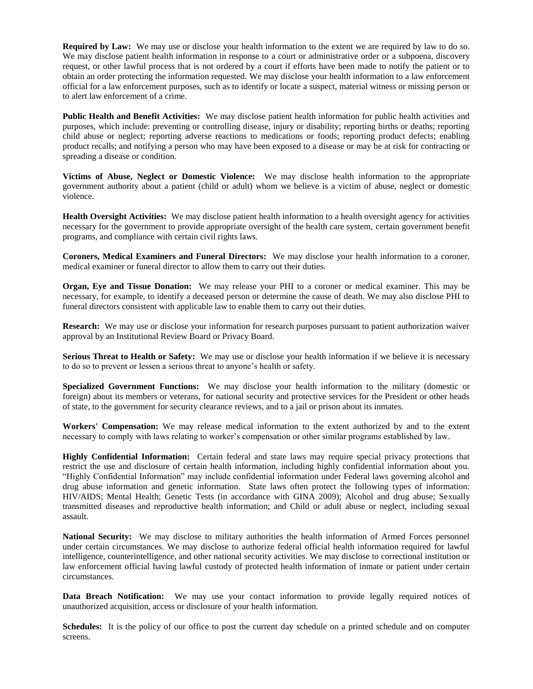**Required by Law:** We may use or disclose your health information to the extent we are required by law to do so. We may disclose patient health information in response to a court or administrative order or a subpoena, discovery request, or other lawful process that is not ordered by a court if efforts have been made to notify the patient or to obtain an order protecting the information requested. We may disclose your health information to a law enforcement official for a law enforcement purposes, such as to identify or locate a suspect, material witness or missing person or to alert law enforcement of a crime.

**Public Health and Benefit Activities:** We may disclose patient health information for public health activities and purposes, which include: preventing or controlling disease, injury or disability; reporting births or deaths; reporting child abuse or neglect; reporting adverse reactions to medications or foods; reporting product defects; enabling product recalls; and notifying a person who may have been exposed to a disease or may be at risk for contracting or spreading a disease or condition.

**Victims of Abuse, Neglect or Domestic Violence:** We may disclose health information to the appropriate government authority about a patient (child or adult) whom we believe is a victim of abuse, neglect or domestic violence.

**Health Oversight Activities:** We may disclose patient health information to a health oversight agency for activities necessary for the government to provide appropriate oversight of the health care system, certain government benefit programs, and compliance with certain civil rights laws.

**Coroners, Medical Examiners and Funeral Directors:** We may disclose your health information to a coroner, medical examiner or funeral director to allow them to carry out their duties.

**Organ, Eye and Tissue Donation:** We may release your PHI to a coroner or medical examiner. This may be necessary, for example, to identify a deceased person or determine the cause of death. We may also disclose PHI to funeral directors consistent with applicable law to enable them to carry out their duties.

**Research:** We may use or disclose your information for research purposes pursuant to patient authorization waiver approval by an Institutional Review Board or Privacy Board.

**Serious Threat to Health or Safety:** We may use or disclose your health information if we believe it is necessary to do so to prevent or lessen a serious threat to anyone's health or safety.

**Specialized Government Functions:** We may disclose your health information to the military (domestic or foreign) about its members or veterans, for national security and protective services for the President or other heads of state, to the government for security clearance reviews, and to a jail or prison about its inmates.

**Workers' Compensation:** We may release medical information to the extent authorized by and to the extent necessary to comply with laws relating to worker's compensation or other similar programs established by law.

**Highly Confidential Information:** Certain federal and state laws may require special privacy protections that restrict the use and disclosure of certain health information, including highly confidential information about you. "Highly Confidential Information" may include confidential information under Federal laws governing alcohol and drug abuse information and genetic information. State laws often protect the following types of information: HIV/AIDS; Mental Health; Genetic Tests (in accordance with GINA 2009); Alcohol and drug abuse; Sexually transmitted diseases and reproductive health information; and Child or adult abuse or neglect, including sexual assault.

**National Security:** We may disclose to military authorities the health information of Armed Forces personnel under certain circumstances. We may disclose to authorize federal official health information required for lawful intelligence, counterintelligence, and other national security activities. We may disclose to correctional institution or law enforcement official having lawful custody of protected health information of inmate or patient under certain circumstances.

**Data Breach Notification:** We may use your contact information to provide legally required notices of unauthorized acquisition, access or disclosure of your health information.

**Schedules:** It is the policy of our office to post the current day schedule on a printed schedule and on computer screens.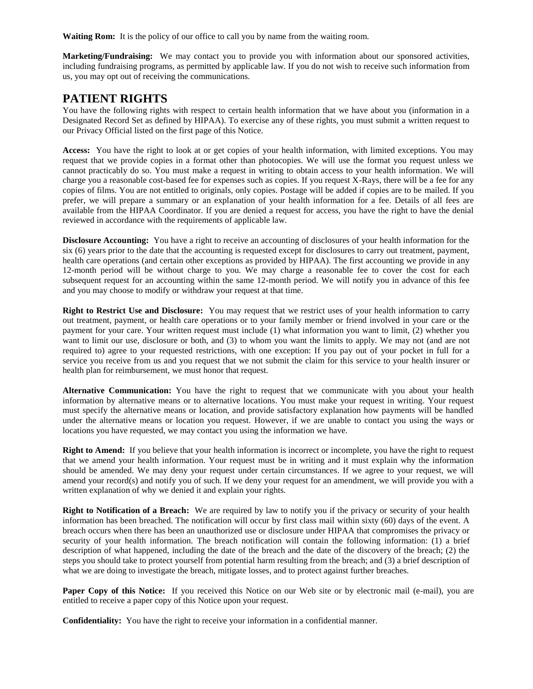**Waiting Rom:** It is the policy of our office to call you by name from the waiting room.

**Marketing/Fundraising:** We may contact you to provide you with information about our sponsored activities, including fundraising programs, as permitted by applicable law. If you do not wish to receive such information from us, you may opt out of receiving the communications.

#### **PATIENT RIGHTS**

You have the following rights with respect to certain health information that we have about you (information in a Designated Record Set as defined by HIPAA). To exercise any of these rights, you must submit a written request to our Privacy Official listed on the first page of this Notice.

**Access:** You have the right to look at or get copies of your health information, with limited exceptions. You may request that we provide copies in a format other than photocopies. We will use the format you request unless we cannot practicably do so. You must make a request in writing to obtain access to your health information. We will charge you a reasonable cost-based fee for expenses such as copies. If you request X-Rays, there will be a fee for any copies of films. You are not entitled to originals, only copies. Postage will be added if copies are to be mailed. If you prefer, we will prepare a summary or an explanation of your health information for a fee. Details of all fees are available from the HIPAA Coordinator. If you are denied a request for access, you have the right to have the denial reviewed in accordance with the requirements of applicable law.

**Disclosure Accounting:** You have a right to receive an accounting of disclosures of your health information for the six (6) years prior to the date that the accounting is requested except for disclosures to carry out treatment, payment, health care operations (and certain other exceptions as provided by HIPAA). The first accounting we provide in any 12-month period will be without charge to you. We may charge a reasonable fee to cover the cost for each subsequent request for an accounting within the same 12-month period. We will notify you in advance of this fee and you may choose to modify or withdraw your request at that time.

**Right to Restrict Use and Disclosure:** You may request that we restrict uses of your health information to carry out treatment, payment, or health care operations or to your family member or friend involved in your care or the payment for your care. Your written request must include (1) what information you want to limit, (2) whether you want to limit our use, disclosure or both, and (3) to whom you want the limits to apply. We may not (and are not required to) agree to your requested restrictions, with one exception: If you pay out of your pocket in full for a service you receive from us and you request that we not submit the claim for this service to your health insurer or health plan for reimbursement, we must honor that request.

**Alternative Communication:** You have the right to request that we communicate with you about your health information by alternative means or to alternative locations. You must make your request in writing. Your request must specify the alternative means or location, and provide satisfactory explanation how payments will be handled under the alternative means or location you request. However, if we are unable to contact you using the ways or locations you have requested, we may contact you using the information we have.

**Right to Amend:** If you believe that your health information is incorrect or incomplete, you have the right to request that we amend your health information. Your request must be in writing and it must explain why the information should be amended. We may deny your request under certain circumstances. If we agree to your request, we will amend your record(s) and notify you of such. If we deny your request for an amendment, we will provide you with a written explanation of why we denied it and explain your rights.

**Right to Notification of a Breach:** We are required by law to notify you if the privacy or security of your health information has been breached. The notification will occur by first class mail within sixty (60) days of the event. A breach occurs when there has been an unauthorized use or disclosure under HIPAA that compromises the privacy or security of your health information. The breach notification will contain the following information: (1) a brief description of what happened, including the date of the breach and the date of the discovery of the breach; (2) the steps you should take to protect yourself from potential harm resulting from the breach; and (3) a brief description of what we are doing to investigate the breach, mitigate losses, and to protect against further breaches.

**Paper Copy of this Notice:** If you received this Notice on our Web site or by electronic mail (e-mail), you are entitled to receive a paper copy of this Notice upon your request.

**Confidentiality:** You have the right to receive your information in a confidential manner.